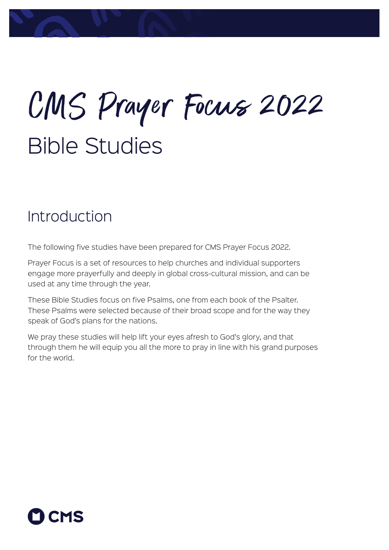# Bible Studies CMS Prayer Focus 2022

## Introduction

The following five studies have been prepared for CMS Prayer Focus 2022.

Prayer Focus is a set of resources to help churches and individual supporters engage more prayerfully and deeply in global cross-cultural mission, and can be used at any time through the year.

These Bible Studies focus on five Psalms, one from each book of the Psalter. These Psalms were selected because of their broad scope and for the way they speak of God's plans for the nations.

We pray these studies will help lift your eyes afresh to God's glory, and that through them he will equip you all the more to pray in line with his grand purposes for the world.

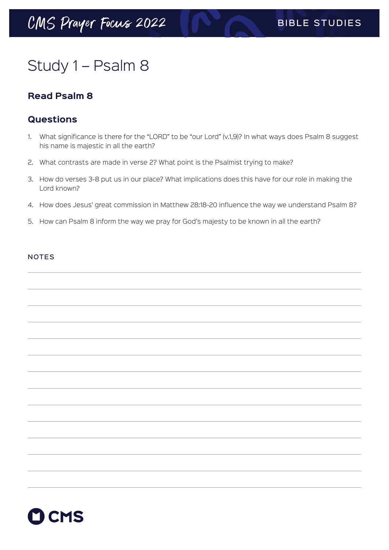# Study 1 – Psalm 8

### **Read Psalm 8**

### **Questions**

- 1. What significance is there for the "LORD" to be "our Lord" (v.1,9)? In what ways does Psalm 8 suggest his name is majestic in all the earth?
- 2. What contrasts are made in verse 2? What point is the Psalmist trying to make?
- 3. How do verses 3-8 put us in our place? What implications does this have for our role in making the Lord known?
- 4. How does Jesus' great commission in Matthew 28:18-20 influence the way we understand Psalm 8?
- 5. How can Psalm 8 inform the way we pray for God's majesty to be known in all the earth?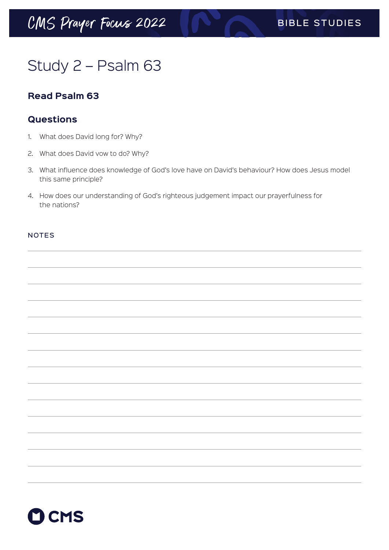# Study 2 – Psalm 63

### **Read Psalm 63**

### **Questions**

- 1. What does David long for? Why?
- 2. What does David vow to do? Why?
- 3. What influence does knowledge of God's love have on David's behaviour? How does Jesus model this same principle?
- 4. How does our understanding of God's righteous judgement impact our prayerfulness for the nations?

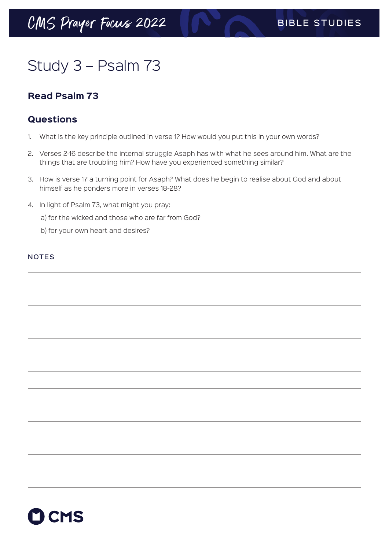# Study 3 – Psalm 73

### **Read Psalm 73**

### **Questions**

- 1. What is the key principle outlined in verse 1? How would you put this in your own words?
- 2. Verses 2-16 describe the internal struggle Asaph has with what he sees around him. What are the things that are troubling him? How have you experienced something similar?
- 3. How is verse 17 a turning point for Asaph? What does he begin to realise about God and about himself as he ponders more in verses 18-28?
- 4. In light of Psalm 73, what might you pray:
	- a) for the wicked and those who are far from God?
	- b) for your own heart and desires?

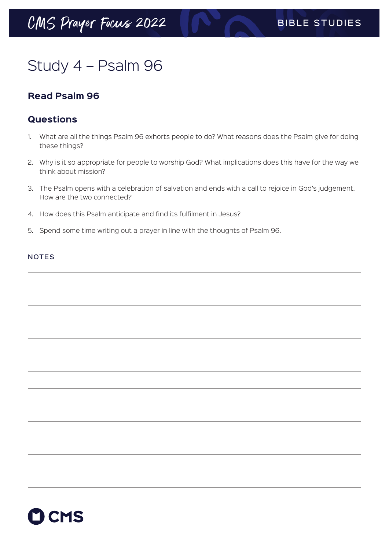# Study 4 – Psalm 96

### **Read Psalm 96**

### **Questions**

- 1. What are all the things Psalm 96 exhorts people to do? What reasons does the Psalm give for doing these things?
- 2. Why is it so appropriate for people to worship God? What implications does this have for the way we think about mission?
- 3. The Psalm opens with a celebration of salvation and ends with a call to rejoice in God's judgement. How are the two connected?
- 4. How does this Psalm anticipate and find its fulfilment in Jesus?
- 5. Spend some time writing out a prayer in line with the thoughts of Psalm 96.

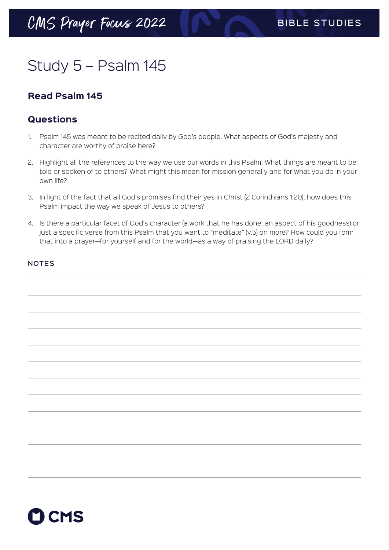# Study 5 – Psalm 145

### **Read Psalm 145**

### **Questions**

- 1. Psalm 145 was meant to be recited daily by God's people. What aspects of God's majesty and character are worthy of praise here?
- 2. Highlight all the references to the way we use our words in this Psalm. What things are meant to be told or spoken of to others? What might this mean for mission generally and for what you do in your own life?
- 3. In light of the fact that all God's promises find their yes in Christ (2 Corinthians 1:20), how does this Psalm impact the way we speak of Jesus to others?
- 4. Is there a particular facet of God's character (a work that he has done, an aspect of his goodness) or just a specific verse from this Psalm that you want to "meditate" (v.5) on more? How could you form that into a prayer—for yourself and for the world—as a way of praising the LORD daily?